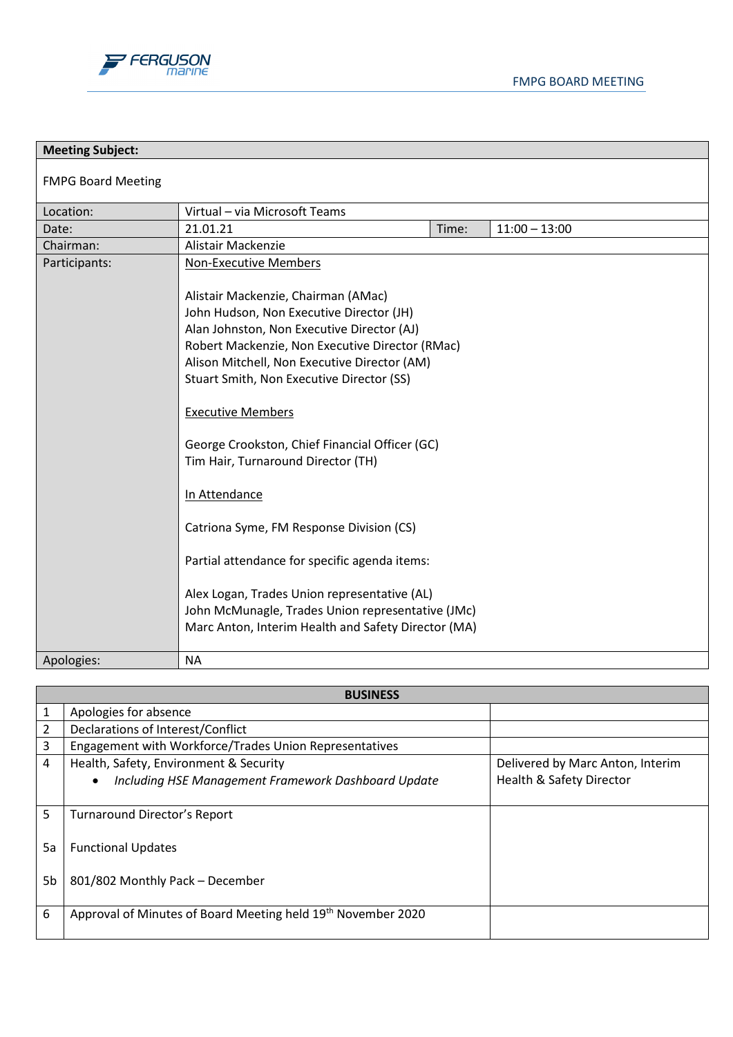

| <b>Meeting Subject:</b>   |                                                                                                                                                                                                                                                                                                                                                                                                                                                                                                                                                                                                                                                                                                             |       |                 |
|---------------------------|-------------------------------------------------------------------------------------------------------------------------------------------------------------------------------------------------------------------------------------------------------------------------------------------------------------------------------------------------------------------------------------------------------------------------------------------------------------------------------------------------------------------------------------------------------------------------------------------------------------------------------------------------------------------------------------------------------------|-------|-----------------|
| <b>FMPG Board Meeting</b> |                                                                                                                                                                                                                                                                                                                                                                                                                                                                                                                                                                                                                                                                                                             |       |                 |
| Location:                 | Virtual - via Microsoft Teams                                                                                                                                                                                                                                                                                                                                                                                                                                                                                                                                                                                                                                                                               |       |                 |
| Date:                     | 21.01.21                                                                                                                                                                                                                                                                                                                                                                                                                                                                                                                                                                                                                                                                                                    | Time: | $11:00 - 13:00$ |
| Chairman:                 | Alistair Mackenzie                                                                                                                                                                                                                                                                                                                                                                                                                                                                                                                                                                                                                                                                                          |       |                 |
| Participants:             | <b>Non-Executive Members</b><br>Alistair Mackenzie, Chairman (AMac)<br>John Hudson, Non Executive Director (JH)<br>Alan Johnston, Non Executive Director (AJ)<br>Robert Mackenzie, Non Executive Director (RMac)<br>Alison Mitchell, Non Executive Director (AM)<br>Stuart Smith, Non Executive Director (SS)<br><b>Executive Members</b><br>George Crookston, Chief Financial Officer (GC)<br>Tim Hair, Turnaround Director (TH)<br>In Attendance<br>Catriona Syme, FM Response Division (CS)<br>Partial attendance for specific agenda items:<br>Alex Logan, Trades Union representative (AL)<br>John McMunagle, Trades Union representative (JMc)<br>Marc Anton, Interim Health and Safety Director (MA) |       |                 |
| Apologies:                | NA                                                                                                                                                                                                                                                                                                                                                                                                                                                                                                                                                                                                                                                                                                          |       |                 |

| <b>BUSINESS</b> |                                                                            |                                     |  |
|-----------------|----------------------------------------------------------------------------|-------------------------------------|--|
| 1               | Apologies for absence                                                      |                                     |  |
| 2               | Declarations of Interest/Conflict                                          |                                     |  |
| 3               | Engagement with Workforce/Trades Union Representatives                     |                                     |  |
| 4               | Health, Safety, Environment & Security<br>Delivered by Marc Anton, Interim |                                     |  |
|                 | Including HSE Management Framework Dashboard Update<br>$\bullet$           | <b>Health &amp; Safety Director</b> |  |
| 5               | Turnaround Director's Report                                               |                                     |  |
| 5a              | <b>Functional Updates</b>                                                  |                                     |  |
| 5b              | 801/802 Monthly Pack - December                                            |                                     |  |
| 6               | Approval of Minutes of Board Meeting held 19th November 2020               |                                     |  |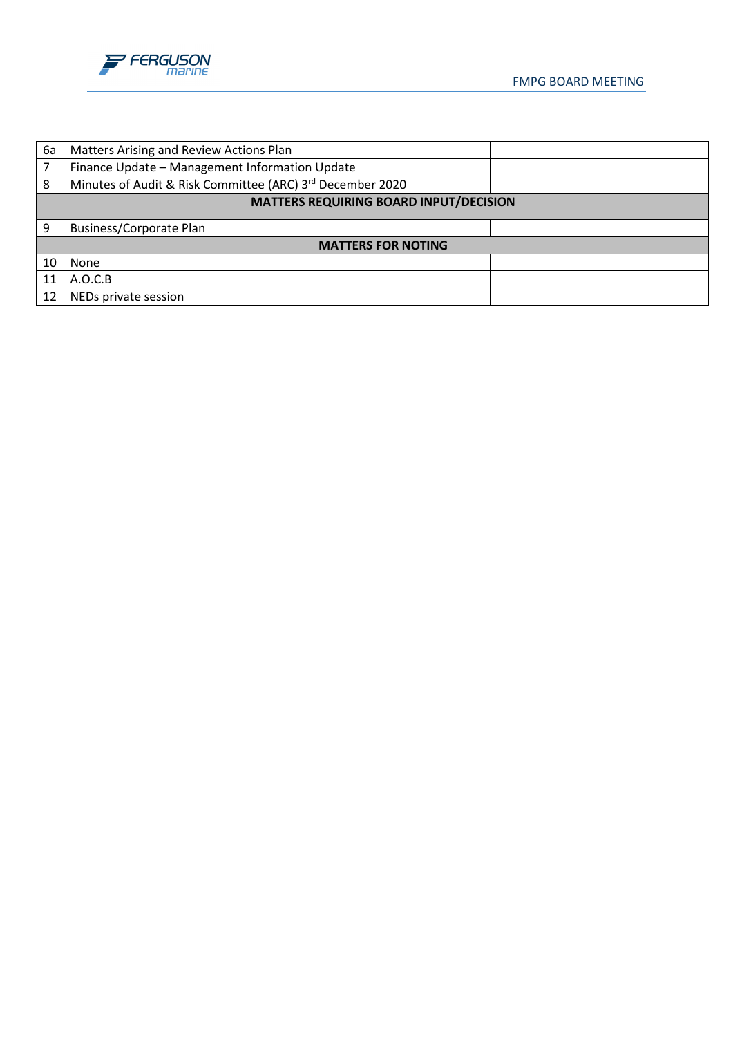

| 6a                                            | Matters Arising and Review Actions Plan                   |  |
|-----------------------------------------------|-----------------------------------------------------------|--|
|                                               | Finance Update - Management Information Update            |  |
| 8                                             | Minutes of Audit & Risk Committee (ARC) 3rd December 2020 |  |
| <b>MATTERS REQUIRING BOARD INPUT/DECISION</b> |                                                           |  |
| q                                             | <b>Business/Corporate Plan</b>                            |  |
| <b>MATTERS FOR NOTING</b>                     |                                                           |  |
| 10                                            | None                                                      |  |
| 11                                            | A.O.C.B                                                   |  |
| 12                                            | NEDs private session                                      |  |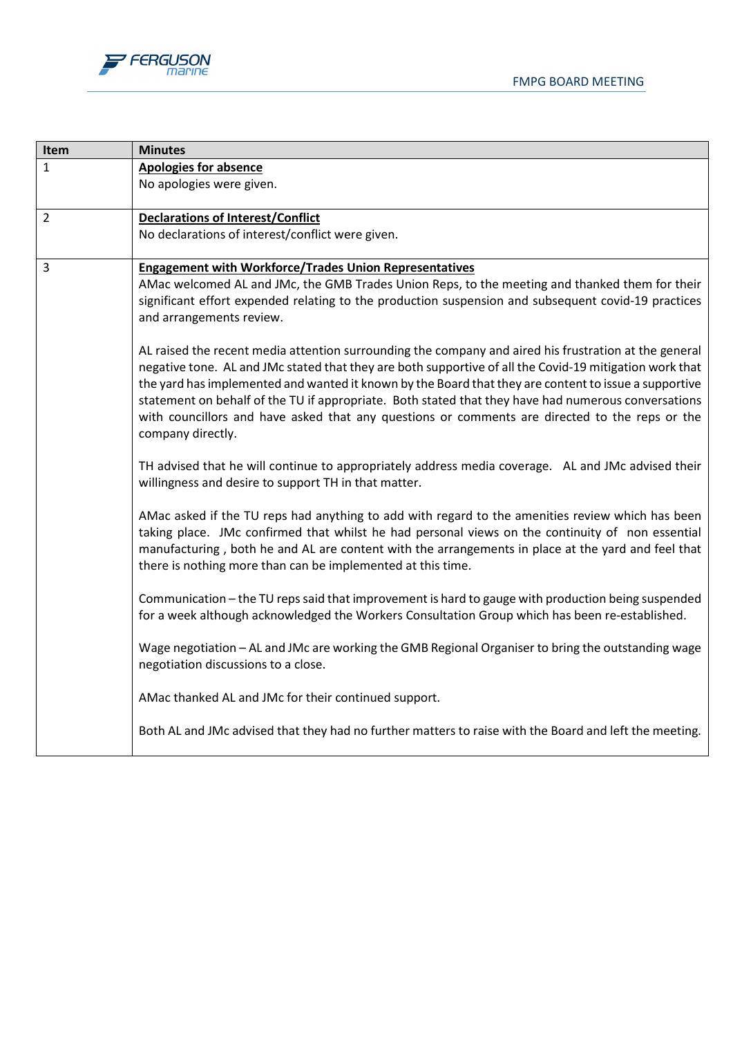



| Item           | <b>Minutes</b>                                                                                                                                                                                                                                                                                                                                                                                                                                                                                                                                                                                                                                                                                                                                                                                                                                                                                                                                                                                                                                                                                                                                                                                                                                                                                                                                                                                                                                                                                                                                                                                                                                                                                                                                                                                                        |
|----------------|-----------------------------------------------------------------------------------------------------------------------------------------------------------------------------------------------------------------------------------------------------------------------------------------------------------------------------------------------------------------------------------------------------------------------------------------------------------------------------------------------------------------------------------------------------------------------------------------------------------------------------------------------------------------------------------------------------------------------------------------------------------------------------------------------------------------------------------------------------------------------------------------------------------------------------------------------------------------------------------------------------------------------------------------------------------------------------------------------------------------------------------------------------------------------------------------------------------------------------------------------------------------------------------------------------------------------------------------------------------------------------------------------------------------------------------------------------------------------------------------------------------------------------------------------------------------------------------------------------------------------------------------------------------------------------------------------------------------------------------------------------------------------------------------------------------------------|
| $\mathbf{1}$   | <b>Apologies for absence</b>                                                                                                                                                                                                                                                                                                                                                                                                                                                                                                                                                                                                                                                                                                                                                                                                                                                                                                                                                                                                                                                                                                                                                                                                                                                                                                                                                                                                                                                                                                                                                                                                                                                                                                                                                                                          |
|                | No apologies were given.                                                                                                                                                                                                                                                                                                                                                                                                                                                                                                                                                                                                                                                                                                                                                                                                                                                                                                                                                                                                                                                                                                                                                                                                                                                                                                                                                                                                                                                                                                                                                                                                                                                                                                                                                                                              |
| $\overline{2}$ | <b>Declarations of Interest/Conflict</b>                                                                                                                                                                                                                                                                                                                                                                                                                                                                                                                                                                                                                                                                                                                                                                                                                                                                                                                                                                                                                                                                                                                                                                                                                                                                                                                                                                                                                                                                                                                                                                                                                                                                                                                                                                              |
|                | No declarations of interest/conflict were given.                                                                                                                                                                                                                                                                                                                                                                                                                                                                                                                                                                                                                                                                                                                                                                                                                                                                                                                                                                                                                                                                                                                                                                                                                                                                                                                                                                                                                                                                                                                                                                                                                                                                                                                                                                      |
| 3              | <b>Engagement with Workforce/Trades Union Representatives</b><br>AMac welcomed AL and JMc, the GMB Trades Union Reps, to the meeting and thanked them for their<br>significant effort expended relating to the production suspension and subsequent covid-19 practices<br>and arrangements review.<br>AL raised the recent media attention surrounding the company and aired his frustration at the general<br>negative tone. AL and JMc stated that they are both supportive of all the Covid-19 mitigation work that<br>the yard has implemented and wanted it known by the Board that they are content to issue a supportive<br>statement on behalf of the TU if appropriate. Both stated that they have had numerous conversations<br>with councillors and have asked that any questions or comments are directed to the reps or the<br>company directly.<br>TH advised that he will continue to appropriately address media coverage. AL and JMc advised their<br>willingness and desire to support TH in that matter.<br>AMac asked if the TU reps had anything to add with regard to the amenities review which has been<br>taking place. JMc confirmed that whilst he had personal views on the continuity of non essential<br>manufacturing, both he and AL are content with the arrangements in place at the yard and feel that<br>there is nothing more than can be implemented at this time.<br>Communication - the TU reps said that improvement is hard to gauge with production being suspended<br>for a week although acknowledged the Workers Consultation Group which has been re-established.<br>Wage negotiation - AL and JMc are working the GMB Regional Organiser to bring the outstanding wage<br>negotiation discussions to a close.<br>AMac thanked AL and JMc for their continued support. |
|                | Both AL and JMc advised that they had no further matters to raise with the Board and left the meeting.                                                                                                                                                                                                                                                                                                                                                                                                                                                                                                                                                                                                                                                                                                                                                                                                                                                                                                                                                                                                                                                                                                                                                                                                                                                                                                                                                                                                                                                                                                                                                                                                                                                                                                                |
|                |                                                                                                                                                                                                                                                                                                                                                                                                                                                                                                                                                                                                                                                                                                                                                                                                                                                                                                                                                                                                                                                                                                                                                                                                                                                                                                                                                                                                                                                                                                                                                                                                                                                                                                                                                                                                                       |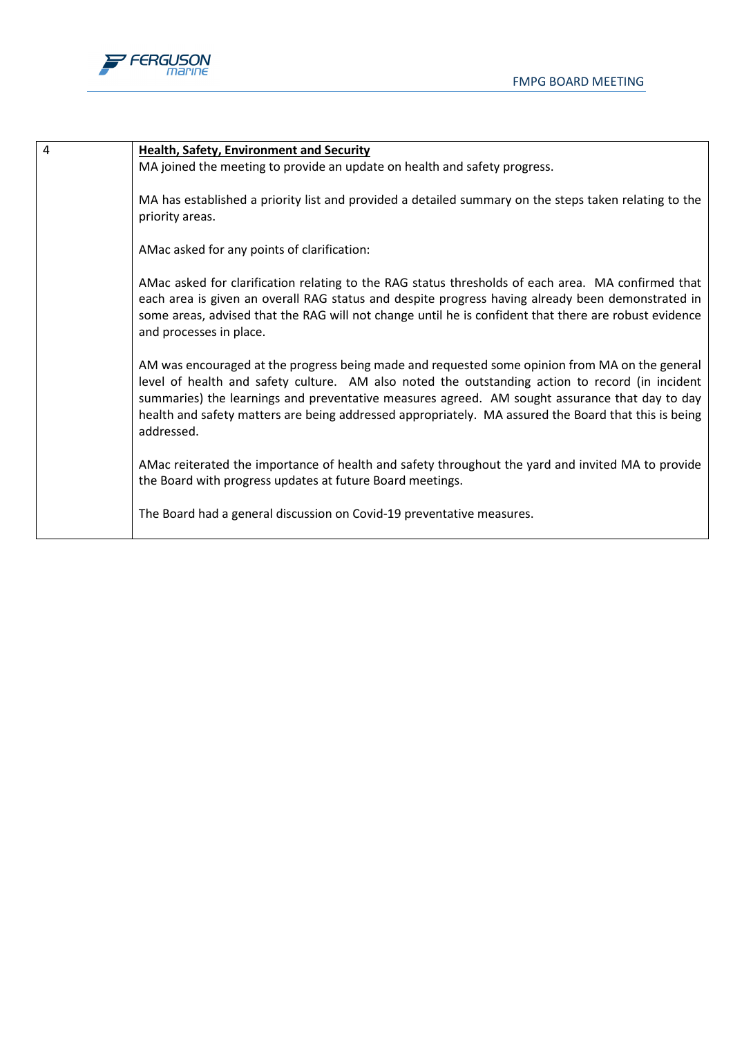

| $\overline{4}$ | <b>Health, Safety, Environment and Security</b>                                                                                                                                                                                                                                                                                                                                                                           |
|----------------|---------------------------------------------------------------------------------------------------------------------------------------------------------------------------------------------------------------------------------------------------------------------------------------------------------------------------------------------------------------------------------------------------------------------------|
|                | MA joined the meeting to provide an update on health and safety progress.                                                                                                                                                                                                                                                                                                                                                 |
|                | MA has established a priority list and provided a detailed summary on the steps taken relating to the<br>priority areas.                                                                                                                                                                                                                                                                                                  |
|                | AMac asked for any points of clarification:                                                                                                                                                                                                                                                                                                                                                                               |
|                | AMac asked for clarification relating to the RAG status thresholds of each area. MA confirmed that<br>each area is given an overall RAG status and despite progress having already been demonstrated in<br>some areas, advised that the RAG will not change until he is confident that there are robust evidence<br>and processes in place.                                                                               |
|                | AM was encouraged at the progress being made and requested some opinion from MA on the general<br>level of health and safety culture. AM also noted the outstanding action to record (in incident<br>summaries) the learnings and preventative measures agreed. AM sought assurance that day to day<br>health and safety matters are being addressed appropriately. MA assured the Board that this is being<br>addressed. |
|                | AMac reiterated the importance of health and safety throughout the yard and invited MA to provide<br>the Board with progress updates at future Board meetings.                                                                                                                                                                                                                                                            |
|                | The Board had a general discussion on Covid-19 preventative measures.                                                                                                                                                                                                                                                                                                                                                     |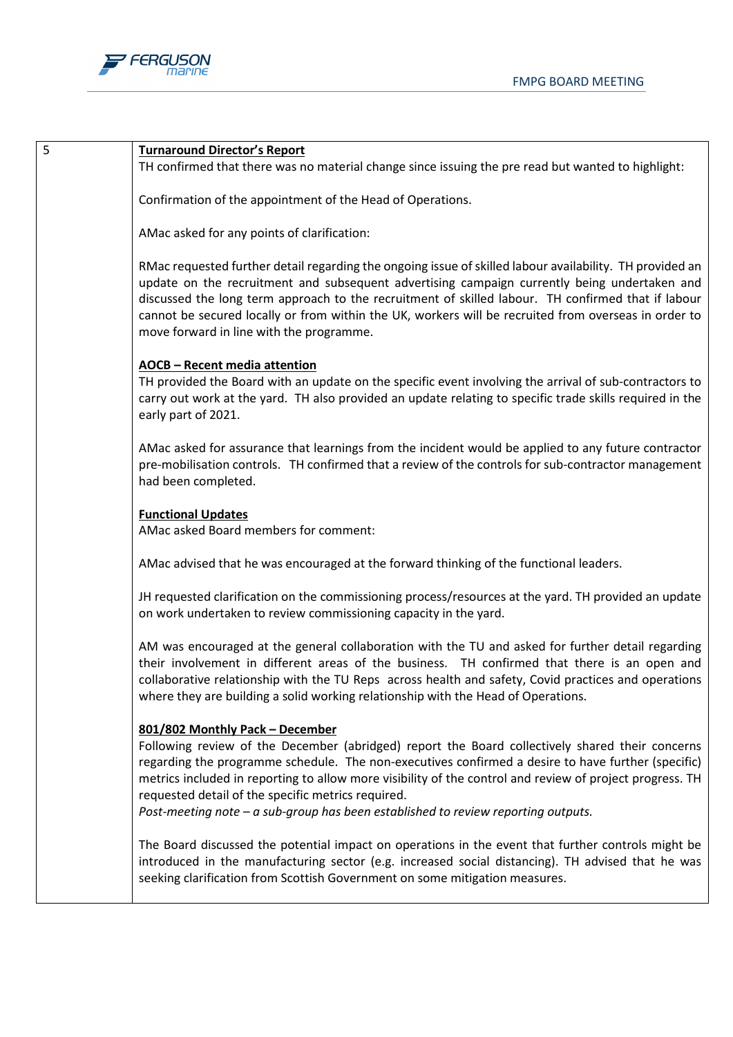

## 5 **Turnaround Director's Report**

TH confirmed that there was no material change since issuing the pre read but wanted to highlight:

Confirmation of the appointment of the Head of Operations.

AMac asked for any points of clarification:

RMac requested further detail regarding the ongoing issue of skilled labour availability. TH provided an update on the recruitment and subsequent advertising campaign currently being undertaken and discussed the long term approach to the recruitment of skilled labour. TH confirmed that if labour cannot be secured locally or from within the UK, workers will be recruited from overseas in order to move forward in line with the programme.

## **AOCB – Recent media attention**

TH provided the Board with an update on the specific event involving the arrival of sub-contractors to carry out work at the yard. TH also provided an update relating to specific trade skills required in the early part of 2021.

AMac asked for assurance that learnings from the incident would be applied to any future contractor pre-mobilisation controls. TH confirmed that a review of the controls for sub-contractor management had been completed.

## **Functional Updates**

AMac asked Board members for comment:

AMac advised that he was encouraged at the forward thinking of the functional leaders.

JH requested clarification on the commissioning process/resources at the yard. TH provided an update on work undertaken to review commissioning capacity in the yard.

AM was encouraged at the general collaboration with the TU and asked for further detail regarding their involvement in different areas of the business. TH confirmed that there is an open and collaborative relationship with the TU Reps across health and safety, Covid practices and operations where they are building a solid working relationship with the Head of Operations.

## **801/802 Monthly Pack – December**

Following review of the December (abridged) report the Board collectively shared their concerns regarding the programme schedule. The non-executives confirmed a desire to have further (specific) metrics included in reporting to allow more visibility of the control and review of project progress. TH requested detail of the specific metrics required.

*Post-meeting note – a sub-group has been established to review reporting outputs.*

The Board discussed the potential impact on operations in the event that further controls might be introduced in the manufacturing sector (e.g. increased social distancing). TH advised that he was seeking clarification from Scottish Government on some mitigation measures.